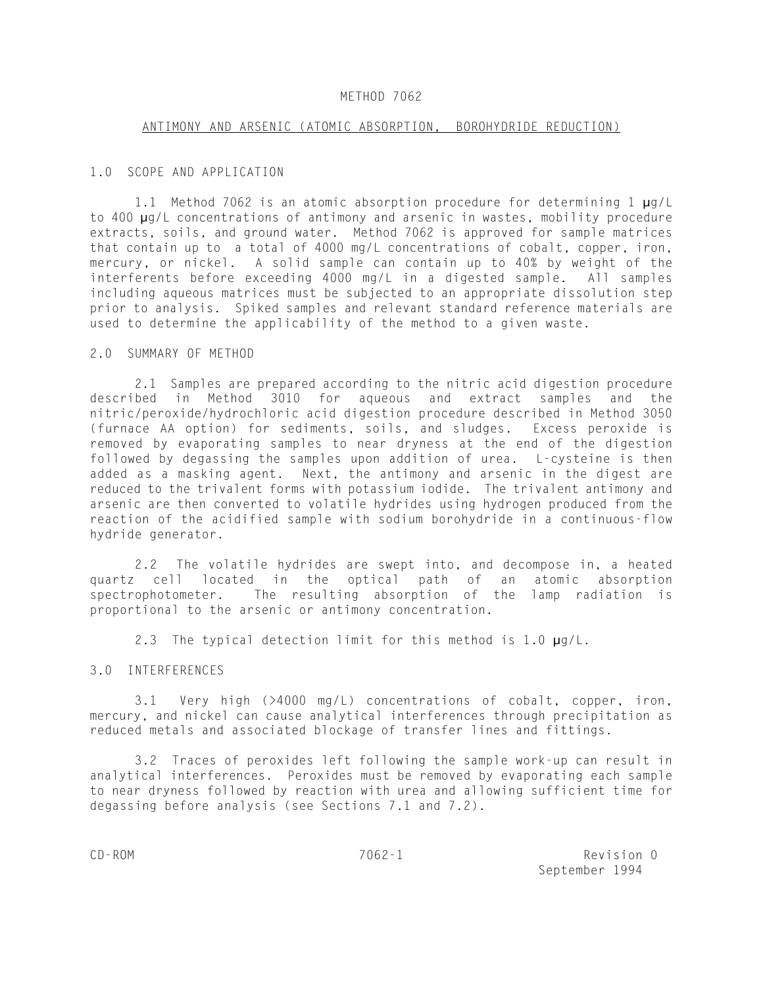### METHOD 7062

#### ANTIMONY AND ARSENIC (ATOMIC ABSORPTION, BOROHYDRIDE REDUCTION)

#### 1.0 SCOPE AND APPLICATION

1.1 Method 7062 is an atomic absorption procedure for determining 1 µg/L to 400 µg/L concentrations of antimony and arsenic in wastes, mobility procedure extracts, soils, and ground water. Method 7062 is approved for sample matrices that contain up to a total of 4000 mg/L concentrations of cobalt, copper, iron, mercury, or nickel. A solid sample can contain up to 40% by weight of the interferents before exceeding 4000 mg/L in a digested sample. All samples including aqueous matrices must be subjected to an appropriate dissolution step prior to analysis. Spiked samples and relevant standard reference materials are used to determine the applicability of the method to a given waste.

#### 2.0 SUMMARY OF METHOD

2.1 Samples are prepared according to the nitric acid digestion procedure described in Method 3010 for aqueous and extract samples and the nitric/peroxide/hydrochloric acid digestion procedure described in Method 3050 (furnace AA option) for sediments, soils, and sludges. Excess peroxide is removed by evaporating samples to near dryness at the end of the digestion followed by degassing the samples upon addition of urea. L-cysteine is then added as a masking agent. Next, the antimony and arsenic in the digest are reduced to the trivalent forms with potassium iodide. The trivalent antimony and arsenic are then converted to volatile hydrides using hydrogen produced from the reaction of the acidified sample with sodium borohydride in a continuous-flow hydride generator.

2.2 The volatile hydrides are swept into, and decompose in, a heated quartz cell located in the optical path of an atomic absorption spectrophotometer. The resulting absorption of the lamp radiation is proportional to the arsenic or antimony concentration.

2.3 The typical detection limit for this method is 1.0  $\mu q/L$ .

### 3.0 INTERFERENCES

3.1 Very high (>4000 mg/L) concentrations of cobalt, copper, iron, mercury, and nickel can cause analytical interferences through precipitation as reduced metals and associated blockage of transfer lines and fittings.

3.2 Traces of peroxides left following the sample work-up can result in analytical interferences. Peroxides must be removed by evaporating each sample to near dryness followed by reaction with urea and allowing sufficient time for degassing before analysis (see Sections 7.1 and 7.2).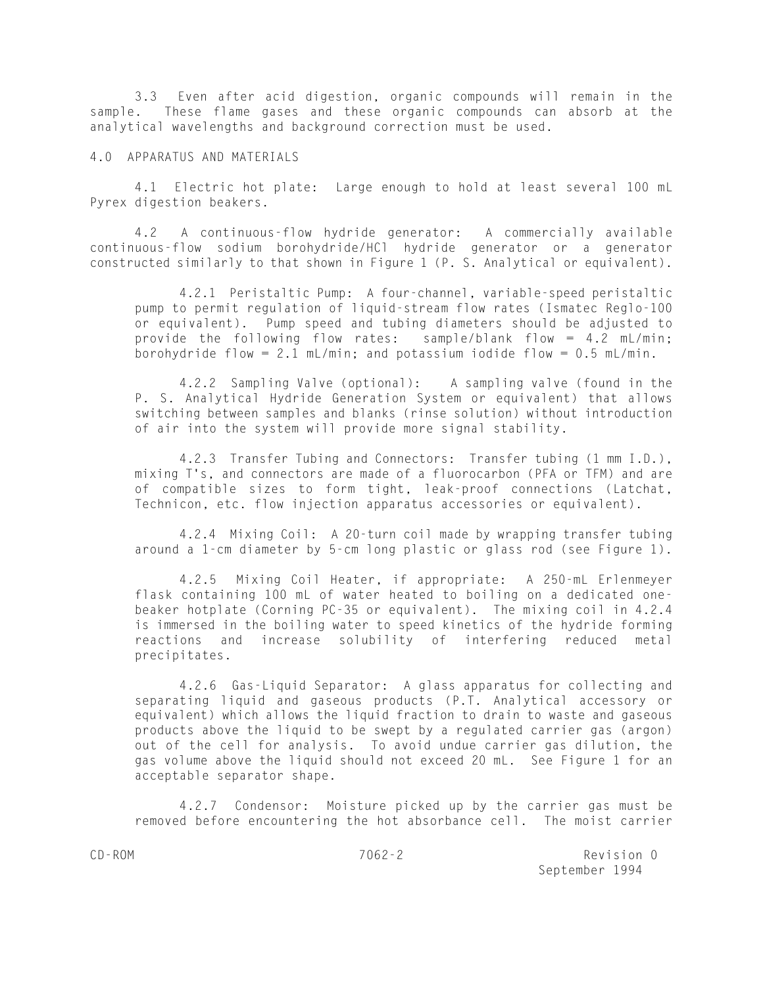3.3 Even after acid digestion, organic compounds will remain in the sample. These flame gases and these organic compounds can absorb at the analytical wavelengths and background correction must be used.

### 4.0 APPARATUS AND MATERIALS

4.1 Electric hot plate: Large enough to hold at least several 100 mL Pyrex digestion beakers.

4.2 A continuous-flow hydride generator: A commercially available continuous-flow sodium borohydride/HCl hydride generator or a generator constructed similarly to that shown in Figure 1 (P. S. Analytical or equivalent).

4.2.1 Peristaltic Pump: A four-channel, variable-speed peristaltic pump to permit regulation of liquid-stream flow rates (Ismatec Reglo-100 or equivalent). Pump speed and tubing diameters should be adjusted to provide the following flow rates: sample/blank flow = 4.2 mL/min; borohydride flow = 2.1 mL/min; and potassium iodide flow =  $0.5$  mL/min.

4.2.2 Sampling Valve (optional): A sampling valve (found in the P. S. Analytical Hydride Generation System or equivalent) that allows switching between samples and blanks (rinse solution) without introduction of air into the system will provide more signal stability.

4.2.3 Transfer Tubing and Connectors: Transfer tubing (1 mm I.D.), mixing T's, and connectors are made of a fluorocarbon (PFA or TFM) and are of compatible sizes to form tight, leak-proof connections (Latchat, Technicon, etc. flow injection apparatus accessories or equivalent).

4.2.4 Mixing Coil: A 20-turn coil made by wrapping transfer tubing around a 1-cm diameter by 5-cm long plastic or glass rod (see Figure 1).

4.2.5 Mixing Coil Heater, if appropriate: A 250-mL Erlenmeyer flask containing 100 mL of water heated to boiling on a dedicated onebeaker hotplate (Corning PC-35 or equivalent). The mixing coil in 4.2.4 is immersed in the boiling water to speed kinetics of the hydride forming reactions and increase solubility of interfering reduced metal precipitates.

4.2.6 Gas-Liquid Separator: A glass apparatus for collecting and separating liquid and gaseous products (P.T. Analytical accessory or equivalent) which allows the liquid fraction to drain to waste and gaseous products above the liquid to be swept by a regulated carrier gas (argon) out of the cell for analysis. To avoid undue carrier gas dilution, the gas volume above the liquid should not exceed 20 mL. See Figure 1 for an acceptable separator shape.

4.2.7 Condensor: Moisture picked up by the carrier gas must be removed before encountering the hot absorbance cell. The moist carrier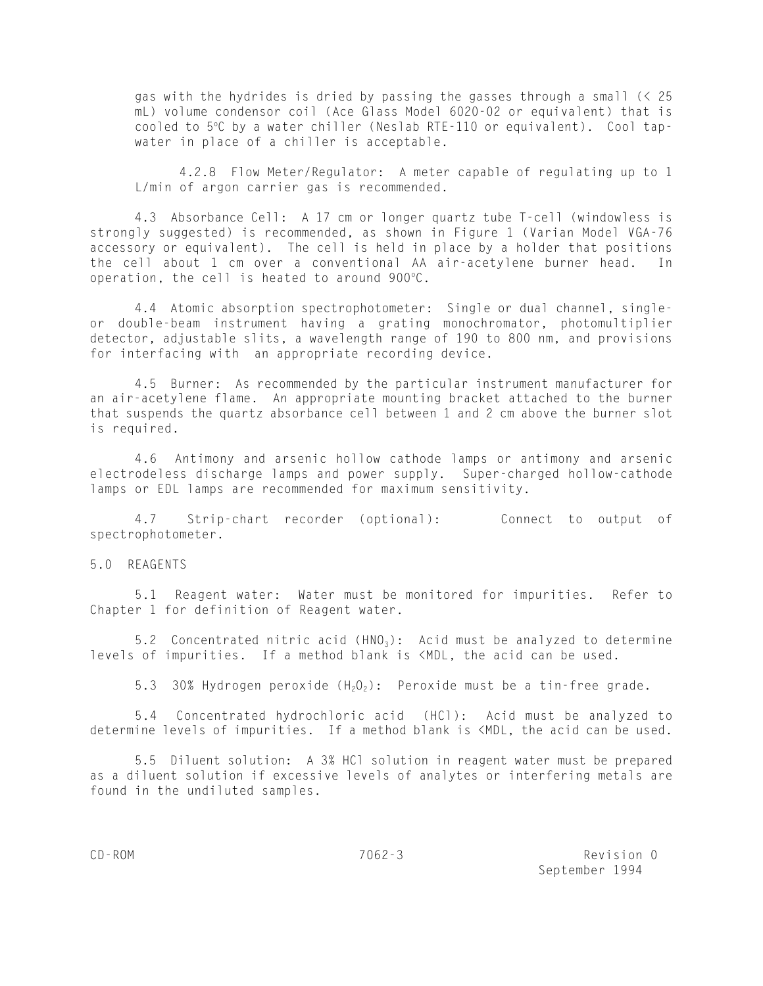gas with the hydrides is dried by passing the gasses through a small (< 25 mL) volume condensor coil (Ace Glass Model 6020-02 or equivalent) that is cooled to 5°C by a water chiller (Neslab RTE-110 or equivalent). Cool tapwater in place of a chiller is acceptable.

4.2.8 Flow Meter/Regulator: A meter capable of regulating up to 1 L/min of argon carrier gas is recommended.

4.3 Absorbance Cell: A 17 cm or longer quartz tube T-cell (windowless is strongly suggested) is recommended, as shown in Figure 1 (Varian Model VGA-76 accessory or equivalent). The cell is held in place by a holder that positions the cell about 1 cm over a conventional AA air-acetylene burner head. In operation, the cell is heated to around  $900^{\circ}$ C.

4.4 Atomic absorption spectrophotometer: Single or dual channel, singleor double-beam instrument having a grating monochromator, photomultiplier detector, adjustable slits, a wavelength range of 190 to 800 nm, and provisions for interfacing with an appropriate recording device.

4.5 Burner: As recommended by the particular instrument manufacturer for an air-acetylene flame. An appropriate mounting bracket attached to the burner that suspends the quartz absorbance cell between 1 and 2 cm above the burner slot is required.

4.6 Antimony and arsenic hollow cathode lamps or antimony and arsenic electrodeless discharge lamps and power supply. Super-charged hollow-cathode lamps or EDL lamps are recommended for maximum sensitivity.

4.7 Strip-chart recorder (optional): Connect to output of spectrophotometer.

5.0 REAGENTS

5.1 Reagent water: Water must be monitored for impurities. Refer to Chapter 1 for definition of Reagent water.

5.2 Concentrated nitric acid  $(HNO<sub>3</sub>)$ : Acid must be analyzed to determine levels of impurities. If a method blank is <MDL, the acid can be used.

5.3 30% Hydrogen peroxide  $(H_2O_2)$ : Peroxide must be a tin-free grade.

5.4 Concentrated hydrochloric acid (HCl): Acid must be analyzed to determine levels of impurities. If a method blank is <MDL, the acid can be used.

5.5 Diluent solution: A 3% HCl solution in reagent water must be prepared as a diluent solution if excessive levels of analytes or interfering metals are found in the undiluted samples.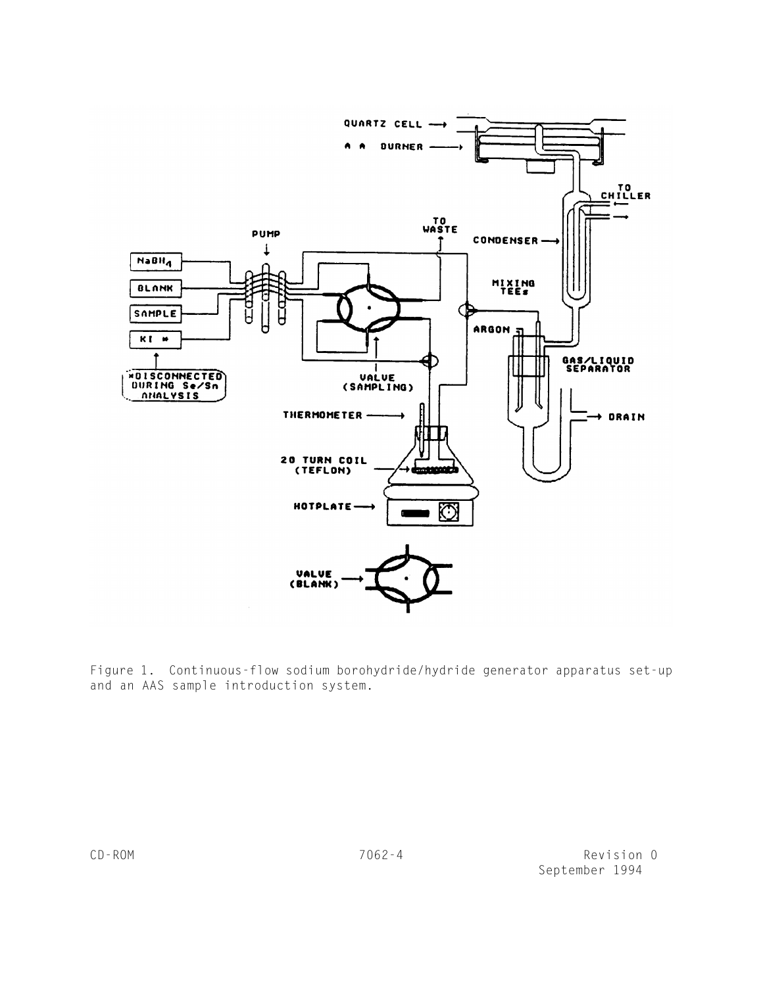

Figure 1. Continuous-flow sodium borohydride/hydride generator apparatus set-up and an AAS sample introduction system.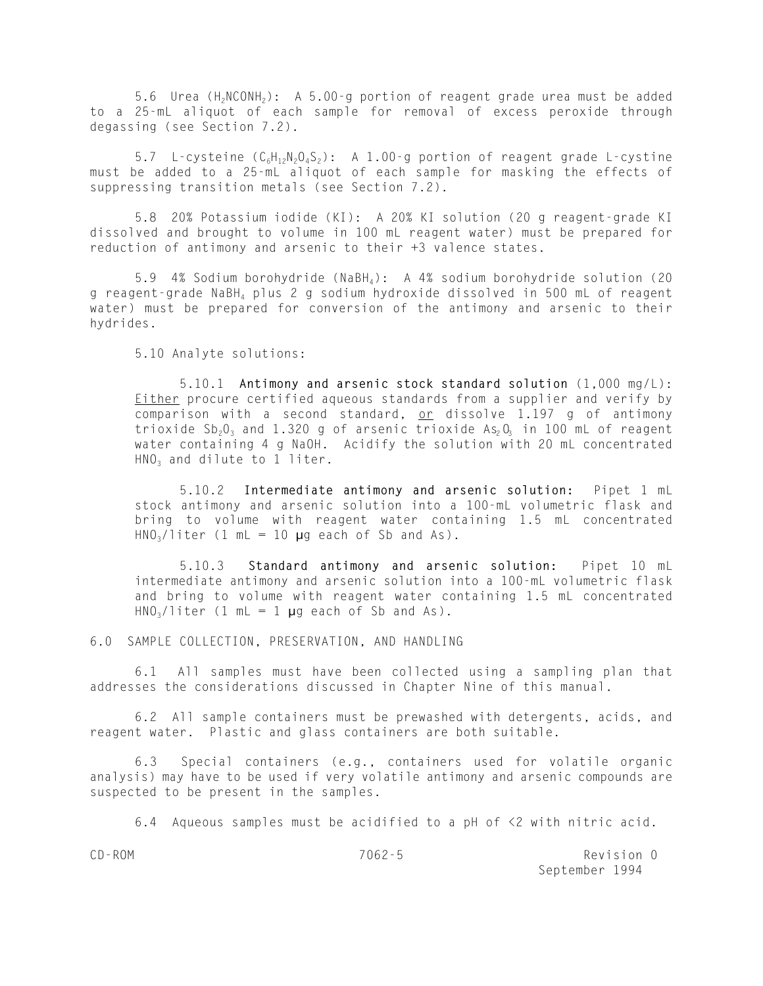5.6 Urea (H<sub>2</sub>NCONH<sub>2</sub>): A 5.00-g portion of reagent grade urea must be added to a 25-mL aliquot of each sample for removal of excess peroxide through degassing (see Section 7.2).

5.7 L-cysteine  $(C_6H_{12}N_2O_4S_2)$ : A 1.00-g portion of reagent grade L-cystine must be added to a 25-mL aliquot of each sample for masking the effects of suppressing transition metals (see Section 7.2).

5.8 20% Potassium iodide (KI): A 20% KI solution (20 g reagent-grade KI dissolved and brought to volume in 100 mL reagent water) must be prepared for reduction of antimony and arsenic to their +3 valence states.

5.9 4% Sodium borohydride (NaBH4): A 4% sodium borohydride solution (20 g reagent-grade NaBH4 plus 2 g sodium hydroxide dissolved in 500 mL of reagent water) must be prepared for conversion of the antimony and arsenic to their hydrides.

5.10 Analyte solutions:

5.10.1 **Antimony and arsenic stock standard solution** (1,000 mg/L): Either procure certified aqueous standards from a supplier and verify by comparison with a second standard, or dissolve 1.197 g of antimony trioxide  $Sb_20_3$  and 1.320 g of arsenic trioxide As<sub>2</sub>0, in 100 mL of reagent water containing 4 g NaOH. Acidify the solution with 20 mL concentrated  $HNO<sub>3</sub>$  and dilute to 1 liter.

5.10.2 **Intermediate antimony and arsenic solution:** Pipet 1 mL stock antimony and arsenic solution into a 100-mL volumetric flask and bring to volume with reagent water containing 1.5 mL concentrated  $HNO<sub>3</sub>/liter$  (1 mL = 10 µg each of Sb and As).

5.10.3 **Standard antimony and arsenic solution:** Pipet 10 mL intermediate antimony and arsenic solution into a 100-mL volumetric flask and bring to volume with reagent water containing 1.5 mL concentrated  $HNO<sub>3</sub>/liter$  (1 mL = 1 µg each of Sb and As).

6.0 SAMPLE COLLECTION, PRESERVATION, AND HANDLING

6.1 All samples must have been collected using a sampling plan that addresses the considerations discussed in Chapter Nine of this manual.

6.2 All sample containers must be prewashed with detergents, acids, and reagent water. Plastic and glass containers are both suitable.

6.3 Special containers (e.g., containers used for volatile organic analysis) may have to be used if very volatile antimony and arsenic compounds are suspected to be present in the samples.

6.4 Aqueous samples must be acidified to a pH of <2 with nitric acid.

CD-ROM 7062-5 Revision 0 September 1994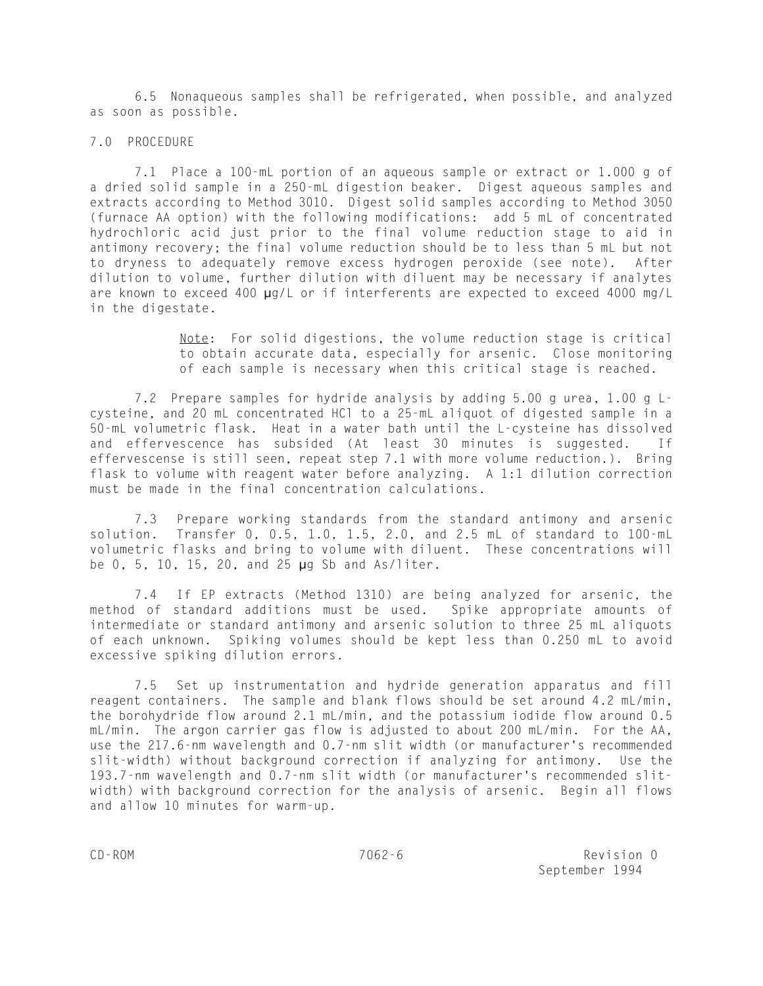6.5 Nonaqueous samples shall be refrigerated, when possible, and analyzed as soon as possible.

### 7.0 PROCEDURE

7.1 Place a 100-mL portion of an aqueous sample or extract or 1.000 g of a dried solid sample in a 250-mL digestion beaker. Digest aqueous samples and extracts according to Method 3010. Digest solid samples according to Method 3050 (furnace AA option) with the following modifications: add 5 mL of concentrated hydrochloric acid just prior to the final volume reduction stage to aid in antimony recovery; the final volume reduction should be to less than 5 mL but not to dryness to adequately remove excess hydrogen peroxide (see note). After dilution to volume, further dilution with diluent may be necessary if analytes are known to exceed 400 µg/L or if interferents are expected to exceed 4000 mg/L in the digestate.

> Note: For solid digestions, the volume reduction stage is critical to obtain accurate data, especially for arsenic. Close monitoring of each sample is necessary when this critical stage is reached.

7.2 Prepare samples for hydride analysis by adding 5.00 g urea, 1.00 g Lcysteine, and 20 mL concentrated HCl to a 25-mL aliquot of digested sample in a 50-mL volumetric flask. Heat in a water bath until the L-cysteine has dissolved and effervescence has subsided (At least 30 minutes is suggested. If effervescense is still seen, repeat step 7.1 with more volume reduction.). Bring flask to volume with reagent water before analyzing. A 1:1 dilution correction must be made in the final concentration calculations.

7.3 Prepare working standards from the standard antimony and arsenic solution. Transfer 0, 0.5, 1.0, 1.5, 2.0, and 2.5 mL of standard to 100-mL volumetric flasks and bring to volume with diluent. These concentrations will be 0, 5, 10, 15, 20, and 25 µg Sb and As/liter.

7.4 If EP extracts (Method 1310) are being analyzed for arsenic, the method of standard additions must be used. Spike appropriate amounts of intermediate or standard antimony and arsenic solution to three 25 mL aliquots of each unknown. Spiking volumes should be kept less than 0.250 mL to avoid excessive spiking dilution errors.

7.5 Set up instrumentation and hydride generation apparatus and fill reagent containers. The sample and blank flows should be set around 4.2 mL/min, the borohydride flow around 2.1 mL/min, and the potassium iodide flow around 0.5 mL/min. The argon carrier gas flow is adjusted to about 200 mL/min. For the AA, use the 217.6-nm wavelength and 0.7-nm slit width (or manufacturer's recommended slit-width) without background correction if analyzing for antimony. Use the 193.7-nm wavelength and 0.7-nm slit width (or manufacturer's recommended slitwidth) with background correction for the analysis of arsenic. Begin all flows and allow 10 minutes for warm-up.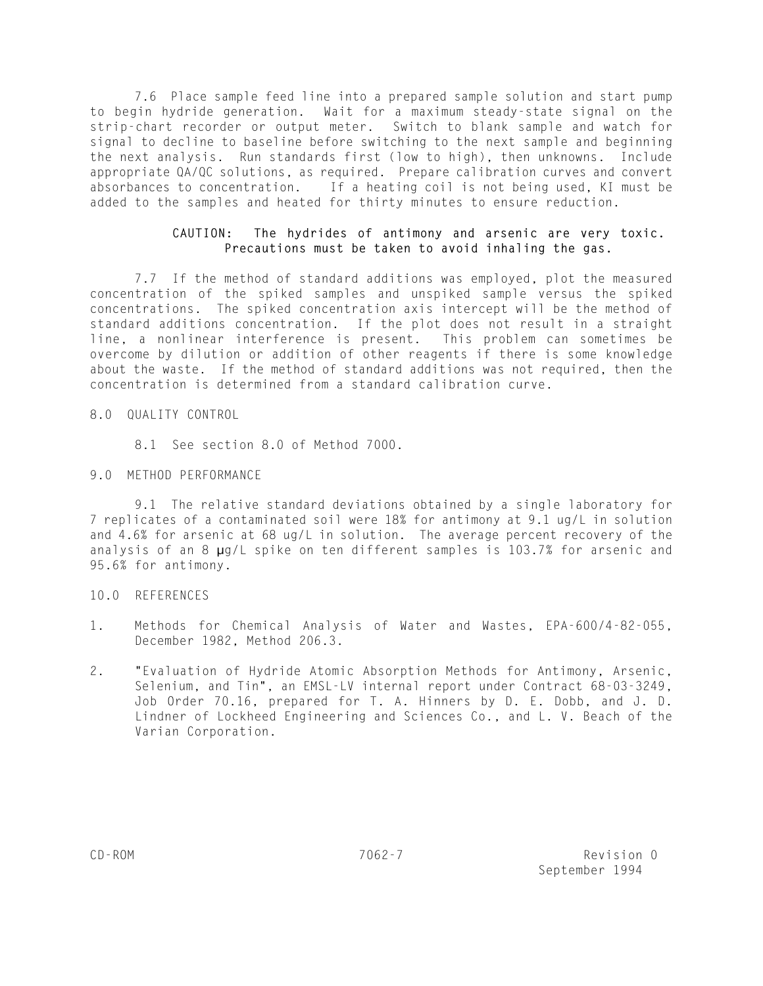7.6 Place sample feed line into a prepared sample solution and start pump to begin hydride generation. Wait for a maximum steady-state signal on the strip-chart recorder or output meter. Switch to blank sample and watch for signal to decline to baseline before switching to the next sample and beginning the next analysis. Run standards first (low to high), then unknowns. Include appropriate QA/QC solutions, as required. Prepare calibration curves and convert absorbances to concentration. If a heating coil is not being used, KI must be added to the samples and heated for thirty minutes to ensure reduction.

# **CAUTION: The hydrides of antimony and arsenic are very toxic. Precautions must be taken to avoid inhaling the gas.**

7.7 If the method of standard additions was employed, plot the measured concentration of the spiked samples and unspiked sample versus the spiked concentrations. The spiked concentration axis intercept will be the method of standard additions concentration. If the plot does not result in a straight line, a nonlinear interference is present. This problem can sometimes be overcome by dilution or addition of other reagents if there is some knowledge about the waste. If the method of standard additions was not required, then the concentration is determined from a standard calibration curve.

## 8.0 QUALITY CONTROL

8.1 See section 8.0 of Method 7000.

## 9.0 METHOD PERFORMANCE

9.1 The relative standard deviations obtained by a single laboratory for 7 replicates of a contaminated soil were 18% for antimony at 9.1 ug/L in solution and 4.6% for arsenic at 68 ug/L in solution. The average percent recovery of the analysis of an 8 µg/L spike on ten different samples is 103.7% for arsenic and 95.6% for antimony.

# 10.0 REFERENCES

- 1. Methods for Chemical Analysis of Water and Wastes, EPA-600/4-82-055, December 1982, Method 206.3.
- 2. "Evaluation of Hydride Atomic Absorption Methods for Antimony, Arsenic, Selenium, and Tin", an EMSL-LV internal report under Contract 68-03-3249, Job Order 70.16, prepared for T. A. Hinners by D. E. Dobb, and J. D. Lindner of Lockheed Engineering and Sciences Co., and L. V. Beach of the Varian Corporation.